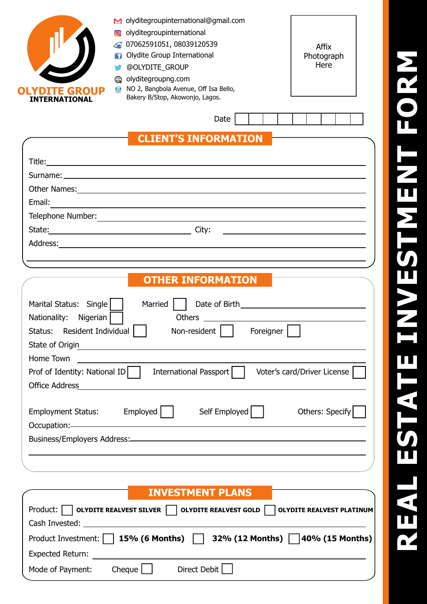| M olyditegroupinternational@gmail.com                                                                                                                                                                                               |
|-------------------------------------------------------------------------------------------------------------------------------------------------------------------------------------------------------------------------------------|
| olyditegroupinternational                                                                                                                                                                                                           |
| 207062591051,08039120539<br>Affix                                                                                                                                                                                                   |
| Olydite Group International<br>Photograph<br>Here                                                                                                                                                                                   |
| @OLYDITE_GROUP<br>olyditegroupng.com                                                                                                                                                                                                |
| NO 2, Bangbola Avenue, Off Isa Bello,<br>$\bullet$<br><b>ITE GROUP</b>                                                                                                                                                              |
| Bakery B/Stop, Akowonjo, Lagos.<br><b>INTERNATIONAL</b>                                                                                                                                                                             |
| Date                                                                                                                                                                                                                                |
|                                                                                                                                                                                                                                     |
| <b>CLIENT'S INFORMATION</b>                                                                                                                                                                                                         |
| Title: <u>Alexander Alexander Alexander Alexander Alexander Alexander Alexander Alexander Alexander Alexander Alex</u>                                                                                                              |
|                                                                                                                                                                                                                                     |
| Other Names: <u>Names:</u> Names: Names: Names: Names: Names: Names: Names: Names: Names: Names: Names: Names: Names: Names: Names: Names: Names: Names: Names: Names: Names: Names: Names: Names: Names: Names: Names: Names: Name |
| Email:<br><u> 1989 - Johann Barnett, fransk politiker (d. 1989)</u>                                                                                                                                                                 |
|                                                                                                                                                                                                                                     |
| <u> 1990 - Johann Barbara, martin amerikan basar da</u>                                                                                                                                                                             |
|                                                                                                                                                                                                                                     |
| and the control of the control of the control of the control of the control of the control of the control of the                                                                                                                    |
|                                                                                                                                                                                                                                     |
| <b>OTHER INFORMATION</b>                                                                                                                                                                                                            |
| Marital Status: Single<br>Married                                                                                                                                                                                                   |
| Nigerian  <br>Nationality:                                                                                                                                                                                                          |
| $\Box$<br>Resident Individual<br>Non-resident  <br>Foreigner<br>Status:                                                                                                                                                             |
| State of Origin                                                                                                                                                                                                                     |
| Home Town                                                                                                                                                                                                                           |
| International Passport<br>Prof of Identity: National ID<br>Voter's card/Driver License                                                                                                                                              |
| <b>Office Address</b>                                                                                                                                                                                                               |
|                                                                                                                                                                                                                                     |
| Employed  <br>Self Employed<br>Others: Specify<br><b>Employment Status:</b>                                                                                                                                                         |
|                                                                                                                                                                                                                                     |
| Business/Employers Address: 2008 and 2009 and 2009 and 2009 and 2009 and 2009 and 2009 and 2009 and 2009 and 20                                                                                                                     |
|                                                                                                                                                                                                                                     |
|                                                                                                                                                                                                                                     |
|                                                                                                                                                                                                                                     |
| <b>INVESTMENT PLANS</b>                                                                                                                                                                                                             |
|                                                                                                                                                                                                                                     |

Product: **Quichens Contract State RealvesT** OLYDITE REALVEST GOLD **QUICH CONTRAL PRODUCT** OLYDITE REALVEST PLATINUM

Product Investment: **15% (6 Months) 32% (12 Months) 40% (15 Months)**

Cash Invested:

Expected Return:

Mode of Payment: Cheque Direct Debit

# **REA LEST A T EINV EST MEN**